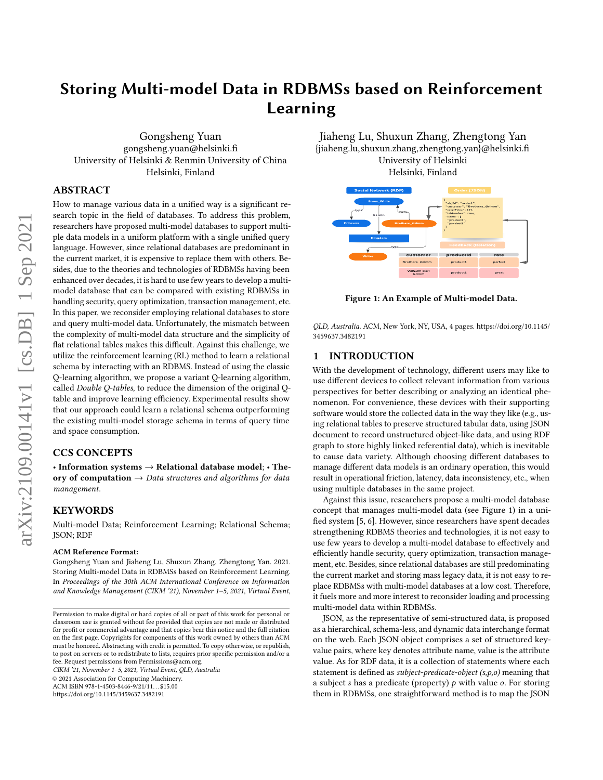# Storing Multi-model Data in RDBMSs based on Reinforcement Learning

Gongsheng Yuan gongsheng.yuan@helsinki.fi University of Helsinki & Renmin University of China Helsinki, Finland

# ABSTRACT

How to manage various data in a unified way is a significant research topic in the field of databases. To address this problem, researchers have proposed multi-model databases to support multiple data models in a uniform platform with a single unified query language. However, since relational databases are predominant in the current market, it is expensive to replace them with others. Besides, due to the theories and technologies of RDBMSs having been enhanced over decades, it is hard to use few years to develop a multimodel database that can be compared with existing RDBMSs in handling security, query optimization, transaction management, etc. In this paper, we reconsider employing relational databases to store and query multi-model data. Unfortunately, the mismatch between the complexity of multi-model data structure and the simplicity of flat relational tables makes this difficult. Against this challenge, we utilize the reinforcement learning (RL) method to learn a relational schema by interacting with an RDBMS. Instead of using the classic Q-learning algorithm, we propose a variant Q-learning algorithm, called Double Q-tables, to reduce the dimension of the original Qtable and improve learning efficiency. Experimental results show that our approach could learn a relational schema outperforming the existing multi-model storage schema in terms of query time and space consumption.

## CCS CONCEPTS

• Information systems  $\rightarrow$  Relational database model; • Theory of computation  $\rightarrow$  Data structures and algorithms for data management.

# **KEYWORDS**

Multi-model Data; Reinforcement Learning; Relational Schema; JSON; RDF

#### ACM Reference Format:

Gongsheng Yuan and Jiaheng Lu, Shuxun Zhang, Zhengtong Yan. 2021. Storing Multi-model Data in RDBMSs based on Reinforcement Learning. In Proceedings of the 30th ACM International Conference on Information and Knowledge Management (CIKM '21), November 1–5, 2021, Virtual Event,

CIKM '21, November 1–5, 2021, Virtual Event, QLD, Australia

© 2021 Association for Computing Machinery.

ACM ISBN 978-1-4503-8446-9/21/11...\$15.00

<https://doi.org/10.1145/3459637.3482191>

Jiaheng Lu, Shuxun Zhang, Zhengtong Yan {jiaheng.lu,shuxun.zhang,zhengtong.yan}@helsinki.fi University of Helsinki Helsinki, Finland

<span id="page-0-0"></span>

Figure 1: An Example of Multi-model Data.

QLD, Australia. ACM, New York, NY, USA, [4](#page-3-0) pages. [https://doi.org/10.1145/](https://doi.org/10.1145/3459637.3482191) [3459637.3482191](https://doi.org/10.1145/3459637.3482191)

# 1 INTRODUCTION

With the development of technology, different users may like to use different devices to collect relevant information from various perspectives for better describing or analyzing an identical phenomenon. For convenience, these devices with their supporting software would store the collected data in the way they like (e.g., using relational tables to preserve structured tabular data, using JSON document to record unstructured object-like data, and using RDF graph to store highly linked referential data), which is inevitable to cause data variety. Although choosing different databases to manage different data models is an ordinary operation, this would result in operational friction, latency, data inconsistency, etc., when using multiple databases in the same project.

Against this issue, researchers propose a multi-model database concept that manages multi-model data (see Figure [1\)](#page-0-0) in a unified system [\[5,](#page-3-1) [6\]](#page-3-2). However, since researchers have spent decades strengthening RDBMS theories and technologies, it is not easy to use few years to develop a multi-model database to effectively and efficiently handle security, query optimization, transaction management, etc. Besides, since relational databases are still predominating the current market and storing mass legacy data, it is not easy to replace RDBMSs with multi-model databases at a low cost. Therefore, it fuels more and more interest to reconsider loading and processing multi-model data within RDBMSs.

JSON, as the representative of semi-structured data, is proposed as a hierarchical, schema-less, and dynamic data interchange format on the web. Each JSON object comprises a set of structured keyvalue pairs, where key denotes attribute name, value is the attribute value. As for RDF data, it is a collection of statements where each statement is defined as subject-predicate-object (s,p,o) meaning that a subject  $s$  has a predicate (property)  $p$  with value  $o$ . For storing them in RDBMSs, one straightforward method is to map the JSON

Permission to make digital or hard copies of all or part of this work for personal or classroom use is granted without fee provided that copies are not made or distributed for profit or commercial advantage and that copies bear this notice and the full citation on the first page. Copyrights for components of this work owned by others than ACM must be honored. Abstracting with credit is permitted. To copy otherwise, or republish, to post on servers or to redistribute to lists, requires prior specific permission and/or a fee. Request permissions from Permissions@acm.org.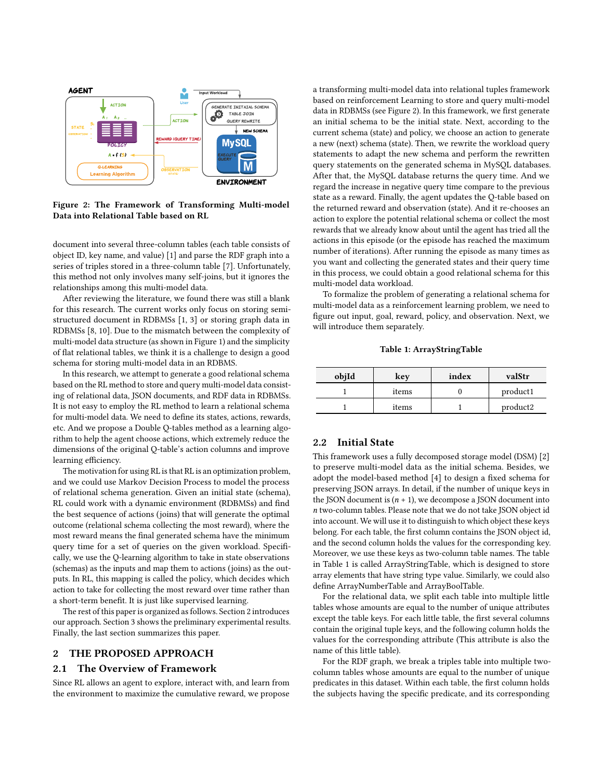<span id="page-1-0"></span>

Figure 2: The Framework of Transforming Multi-model Data into Relational Table based on RL

document into several three-column tables (each table consists of object ID, key name, and value) [\[1\]](#page-3-3) and parse the RDF graph into a series of triples stored in a three-column table [\[7\]](#page-3-4). Unfortunately, this method not only involves many self-joins, but it ignores the relationships among this multi-model data.

After reviewing the literature, we found there was still a blank for this research. The current works only focus on storing semistructured document in RDBMSs [\[1,](#page-3-3) [3\]](#page-3-5) or storing graph data in RDBMSs [\[8,](#page-3-6) [10\]](#page-3-7). Due to the mismatch between the complexity of multi-model data structure (as shown in Figure [1\)](#page-0-0) and the simplicity of flat relational tables, we think it is a challenge to design a good schema for storing multi-model data in an RDBMS.

In this research, we attempt to generate a good relational schema based on the RL method to store and query multi-model data consisting of relational data, JSON documents, and RDF data in RDBMSs. It is not easy to employ the RL method to learn a relational schema for multi-model data. We need to define its states, actions, rewards, etc. And we propose a Double Q-tables method as a learning algorithm to help the agent choose actions, which extremely reduce the dimensions of the original Q-table's action columns and improve learning efficiency.

The motivation for using RL is that RL is an optimization problem, and we could use Markov Decision Process to model the process of relational schema generation. Given an initial state (schema), RL could work with a dynamic environment (RDBMSs) and find the best sequence of actions (joins) that will generate the optimal outcome (relational schema collecting the most reward), where the most reward means the final generated schema have the minimum query time for a set of queries on the given workload. Specifically, we use the Q-learning algorithm to take in state observations (schemas) as the inputs and map them to actions (joins) as the outputs. In RL, this mapping is called the policy, which decides which action to take for collecting the most reward over time rather than a short-term benefit. It is just like supervised learning.

The rest of this paper is organized as follows. Section 2 introduces our approach. Section 3 shows the preliminary experimental results. Finally, the last section summarizes this paper.

## 2 THE PROPOSED APPROACH

## 2.1 The Overview of Framework

Since RL allows an agent to explore, interact with, and learn from the environment to maximize the cumulative reward, we propose a transforming multi-model data into relational tuples framework based on reinforcement Learning to store and query multi-model data in RDBMSs (see Figure [2\)](#page-1-0). In this framework, we first generate an initial schema to be the initial state. Next, according to the current schema (state) and policy, we choose an action to generate a new (next) schema (state). Then, we rewrite the workload query statements to adapt the new schema and perform the rewritten query statements on the generated schema in MySQL databases. After that, the MySQL database returns the query time. And we regard the increase in negative query time compare to the previous state as a reward. Finally, the agent updates the Q-table based on the returned reward and observation (state). And it re-chooses an action to explore the potential relational schema or collect the most rewards that we already know about until the agent has tried all the actions in this episode (or the episode has reached the maximum number of iterations). After running the episode as many times as you want and collecting the generated states and their query time in this process, we could obtain a good relational schema for this multi-model data workload.

To formalize the problem of generating a relational schema for multi-model data as a reinforcement learning problem, we need to figure out input, goal, reward, policy, and observation. Next, we will introduce them separately.

Table 1: ArrayStringTable

<span id="page-1-1"></span>

| objId | kev   | index | valStr   |  |
|-------|-------|-------|----------|--|
|       | items |       | product1 |  |
|       | items |       | product2 |  |

## 2.2 Initial State

This framework uses a fully decomposed storage model (DSM) [\[2\]](#page-3-8) to preserve multi-model data as the initial schema. Besides, we adopt the model-based method [\[4\]](#page-3-9) to design a fixed schema for preserving JSON arrays. In detail, if the number of unique keys in the JSON document is  $(n + 1)$ , we decompose a JSON document into two-column tables. Please note that we do not take JSON object id into account. We will use it to distinguish to which object these keys belong. For each table, the first column contains the JSON object id, and the second column holds the values for the corresponding key. Moreover, we use these keys as two-column table names. The table in Table [1](#page-1-1) is called ArrayStringTable, which is designed to store array elements that have string type value. Similarly, we could also define ArrayNumberTable and ArrayBoolTable.

For the relational data, we split each table into multiple little tables whose amounts are equal to the number of unique attributes except the table keys. For each little table, the first several columns contain the original tuple keys, and the following column holds the values for the corresponding attribute (This attribute is also the name of this little table).

For the RDF graph, we break a triples table into multiple twocolumn tables whose amounts are equal to the number of unique predicates in this dataset. Within each table, the first column holds the subjects having the specific predicate, and its corresponding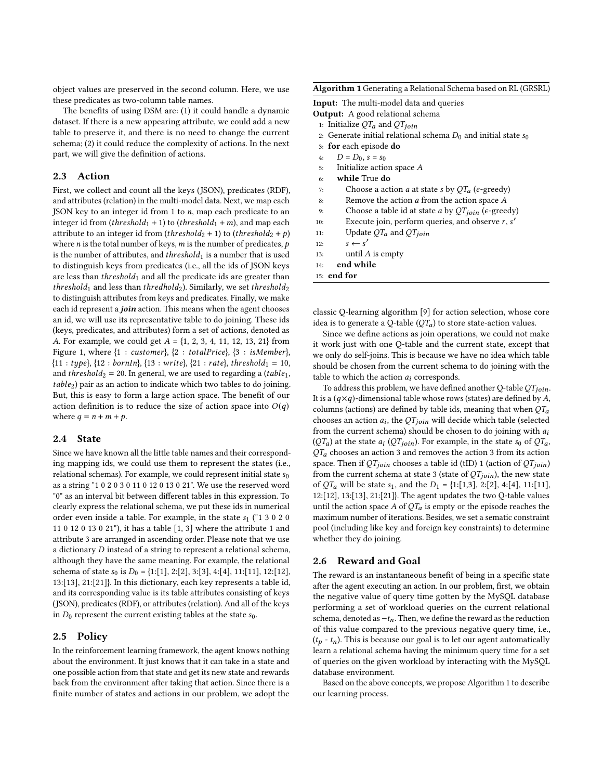object values are preserved in the second column. Here, we use these predicates as two-column table names.

The benefits of using DSM are: (1) it could handle a dynamic dataset. If there is a new appearing attribute, we could add a new table to preserve it, and there is no need to change the current schema; (2) it could reduce the complexity of actions. In the next part, we will give the definition of actions.

## 2.3 Action

First, we collect and count all the keys (JSON), predicates (RDF), and attributes (relation) in the multi-model data. Next, we map each JSON key to an integer id from 1 to  $n$ , map each predicate to an integer id from (threshold<sub>1</sub> + 1) to (threshold<sub>1</sub> + m), and map each attribute to an integer id from (threshold<sub>2</sub> + 1) to (threshold<sub>2</sub> + p) where *n* is the total number of keys, *m* is the number of predicates,  $p$ is the number of attributes, and  $threshold_1$  is a number that is used to distinguish keys from predicates (i.e., all the ids of JSON keys are less than  $threshold_1$  and all the predicate ids are greater than threshold<sub>1</sub> and less than thredhold<sub>2</sub>). Similarly, we set threshold<sub>2</sub> to distinguish attributes from keys and predicates. Finally, we make each id represent a join action. This means when the agent chooses an id, we will use its representative table to do joining. These ids (keys, predicates, and attributes) form a set of actions, denoted as A. For example, we could get  $A = \{1, 2, 3, 4, 11, 12, 13, 21\}$  from Figure [1,](#page-0-0) where  $\{1: customer\}$ ,  $\{2: totalPrice\}$ ,  $\{3: is Member\}$ ,  ${11 : type}, {12 : bornIn}, {13 : write}, {21 : rate}, threshold_1 = 10,$ and *threshold*<sub>2</sub> = 20. In general, we are used to regarding a (*table*<sub>1</sub>,  $table<sub>2</sub>$ ) pair as an action to indicate which two tables to do joining. But, this is easy to form a large action space. The benefit of our action definition is to reduce the size of action space into  $O(q)$ where  $q = n + m + p$ .

## 2.4 State

Since we have known all the little table names and their corresponding mapping ids, we could use them to represent the states (i.e., relational schemas). For example, we could represent initial state  $s_0$ as a string "1 0 2 0 3 0 11 0 12 0 13 0 21". We use the reserved word "0" as an interval bit between different tables in this expression. To clearly express the relational schema, we put these ids in numerical order even inside a table. For example, in the state  $s_1$  ("1 3 0 2 0 11 0 12 0 13 0 21"), it has a table [1, 3] where the attribute 1 and attribute 3 are arranged in ascending order. Please note that we use a dictionary  $D$  instead of a string to represent a relational schema, although they have the same meaning. For example, the relational schema of state  $s_0$  is  $D_0 = \{1:[1], 2:[2], 3:[3], 4:[4], 11:[11], 12:[12],$ 13:[13], 21:[21]}. In this dictionary, each key represents a table id, and its corresponding value is its table attributes consisting of keys (JSON), predicates (RDF), or attributes (relation). And all of the keys in  $D_0$  represent the current existing tables at the state  $s_0$ .

#### 2.5 Policy

In the reinforcement learning framework, the agent knows nothing about the environment. It just knows that it can take in a state and one possible action from that state and get its new state and rewards back from the environment after taking that action. Since there is a finite number of states and actions in our problem, we adopt the

#### <span id="page-2-0"></span>Algorithm 1 Generating a Relational Schema based on RL (GRSRL)

Input: The multi-model data and queries

- Output: A good relational schema
- 1: Initialize  $QT_a$  and  $QT_{ioin}$
- 2: Generate initial relational schema  $D_0$  and initial state  $s_0$
- 3: for each episode do
- 4:  $D = D_0, s = s_0$
- 5: Initialize action space  $A$
- 6: while True do
- 7: Choose a action *a* at state *s* by  $QT_a$  ( $\epsilon$ -greedy)
- 8: Remove the action  $a$  from the action space  $A$
- 9: Choose a table id at state *a* by  $QT<sub>join</sub>$  ( $\epsilon$ -greedy)
- 10: Execute join, perform queries, and observe  $r, s'$
- 11: Update  $QT_a$  and  $QT_{join}$
- 12:  $s \leftarrow s'$
- 13: until  $A$  is empty
- 14: end while
- 15: end for

classic Q-learning algorithm [\[9\]](#page-3-10) for action selection, whose core idea is to generate a Q-table  $(QT_a)$  to store state-action values.

Since we define actions as join operations, we could not make it work just with one Q-table and the current state, except that we only do self-joins. This is because we have no idea which table should be chosen from the current schema to do joining with the table to which the action  $a_i$  corresponds.

To address this problem, we have defined another Q-table  $QT<sub>ioin</sub>$ . It is a  $(q \times q)$ -dimensional table whose rows (states) are defined by A, columns (actions) are defined by table ids, meaning that when  $QT_a$ chooses an action  $a_i$ , the  $QT_{join}$  will decide which table (selected from the current schema) should be chosen to do joining with  $a_i$  $(QT_a)$  at the state  $a_i (QT<sub>join</sub>)$ . For example, in the state s<sub>0</sub> of  $QT_a$ ,  $QT<sub>a</sub>$  chooses an action 3 and removes the action 3 from its action space. Then if  $QT<sub>join</sub>$  chooses a table id (tID) 1 (action of  $QT<sub>join</sub>$ ) from the current schema at state 3 (state of  $QT<sub>join</sub>$ ), the new state of  $QT_a$  will be state  $s_1$ , and the  $D_1 = \{1:[1,3], 2:[2], 4:[4], 11:[11],$ 12:[12], 13:[13], 21:[21]}. The agent updates the two Q-table values until the action space A of  $QT_a$  is empty or the episode reaches the maximum number of iterations. Besides, we set a sematic constraint pool (including like key and foreign key constraints) to determine whether they do joining.

#### 2.6 Reward and Goal

The reward is an instantaneous benefit of being in a specific state after the agent executing an action. In our problem, first, we obtain the negative value of query time gotten by the MySQL database performing a set of workload queries on the current relational schema, denoted as  $-t_n$ . Then, we define the reward as the reduction of this value compared to the previous negative query time, i.e.,  $(t_p - t_n)$ . This is because our goal is to let our agent automatically learn a relational schema having the minimum query time for a set of queries on the given workload by interacting with the MySQL database environment.

Based on the above concepts, we propose Algorithm [1](#page-2-0) to describe our learning process.